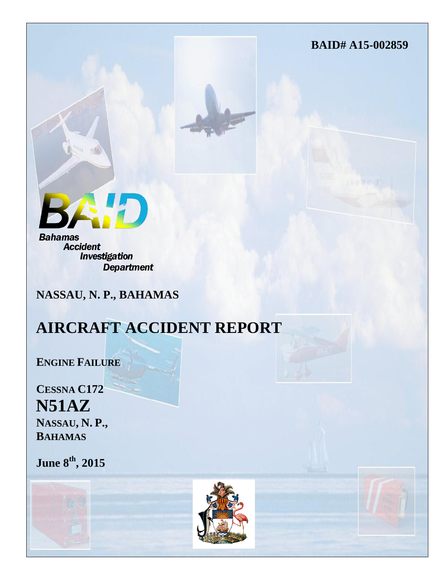**BAID# A15-002859**



**Accident** *Investigation* **Department** 

**NASSAU, N. P., BAHAMAS**

# **AIRCRAFT ACCIDENT REPORT**

**ENGINE FAILURE**

**CESSNA C172 N51AZ NASSAU, N. P., BAHAMAS**

**June 8th, 2015**

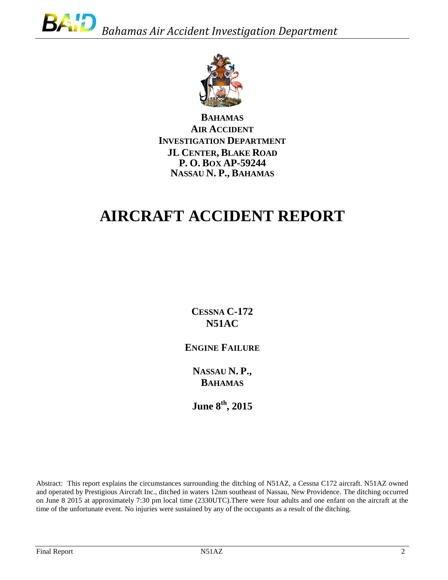

**BAHAMAS AIR ACCIDENT INVESTIGATION DEPARTMENT JL CENTER, BLAKE ROAD P. O. BOX AP-59244 NASSAU N. P., BAHAMAS**

# **AIRCRAFT ACCIDENT REPORT**

**CESSNA C-172 N51AC**

**ENGINE FAILURE**

**NASSAU N. P., BAHAMAS**

**June 8th, 2015**

Abstract: This report explains the circumstances surrounding the ditching of N51AZ, a Cessna C172 aircraft. N51AZ owned and operated by Prestigious Aircraft Inc., ditched in waters 12nm southeast of Nassau, New Providence. The ditching occurred on June 8 2015 at approximately 7:30 pm local time (2330UTC).There were four adults and one enfant on the aircraft at the time of the unfortunate event. No injuries were sustained by any of the occupants as a result of the ditching.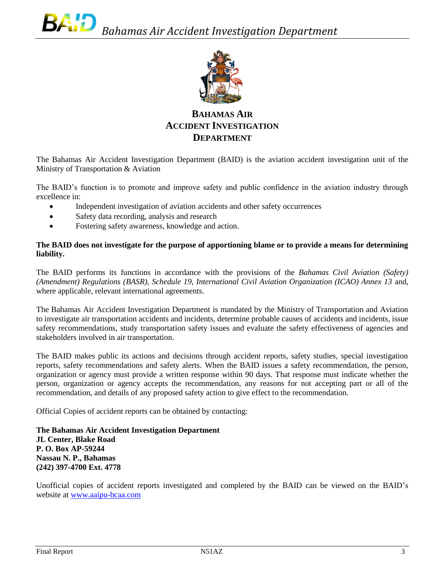

# **BAHAMAS AIR ACCIDENT INVESTIGATION DEPARTMENT**

The Bahamas Air Accident Investigation Department (BAID) is the aviation accident investigation unit of the Ministry of Transportation & Aviation

The BAID's function is to promote and improve safety and public confidence in the aviation industry through excellence in:

- Independent investigation of aviation accidents and other safety occurrences
- Safety data recording, analysis and research
- Fostering safety awareness, knowledge and action.

#### **The BAID does not investigate for the purpose of apportioning blame or to provide a means for determining liability.**

The BAID performs its functions in accordance with the provisions of the *Bahamas Civil Aviation (Safety) (Amendment) Regulations (BASR), Schedule 19, International Civil Aviation Organization (ICAO) Annex 13* and, where applicable, relevant international agreements.

The Bahamas Air Accident Investigation Department is mandated by the Ministry of Transportation and Aviation to investigate air transportation accidents and incidents, determine probable causes of accidents and incidents, issue safety recommendations, study transportation safety issues and evaluate the safety effectiveness of agencies and stakeholders involved in air transportation.

The BAID makes public its actions and decisions through accident reports, safety studies, special investigation reports, safety recommendations and safety alerts. When the BAID issues a safety recommendation, the person, organization or agency must provide a written response within 90 days. That response must indicate whether the person, organization or agency accepts the recommendation, any reasons for not accepting part or all of the recommendation, and details of any proposed safety action to give effect to the recommendation.

Official Copies of accident reports can be obtained by contacting:

**The Bahamas Air Accident Investigation Department JL Center, Blake Road P. O. Box AP-59244 Nassau N. P., Bahamas (242) 397-4700 Ext. 4778**

Unofficial copies of accident reports investigated and completed by the BAID can be viewed on the BAID's website at [www.aaipu-bcaa.com](http://www.aaipu-bcaa.com/)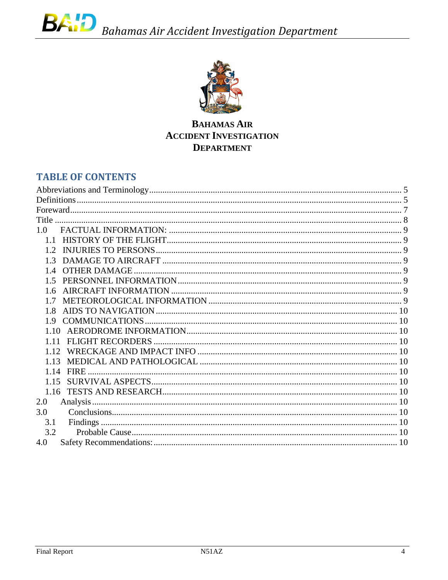

**BAHAMAS AIR ACCIDENT INVESTIGATION DEPARTMENT** 

# **TABLE OF CONTENTS**

| 1.0  |  |
|------|--|
| 1.1  |  |
|      |  |
|      |  |
|      |  |
|      |  |
| 16   |  |
| 17   |  |
| 1.8  |  |
|      |  |
| 1.10 |  |
| 1.11 |  |
| 1.12 |  |
| 1.13 |  |
|      |  |
| 1.15 |  |
|      |  |
| 2.0  |  |
| 3.0  |  |
| 3.1  |  |
| 3.2  |  |
| 4.0  |  |
|      |  |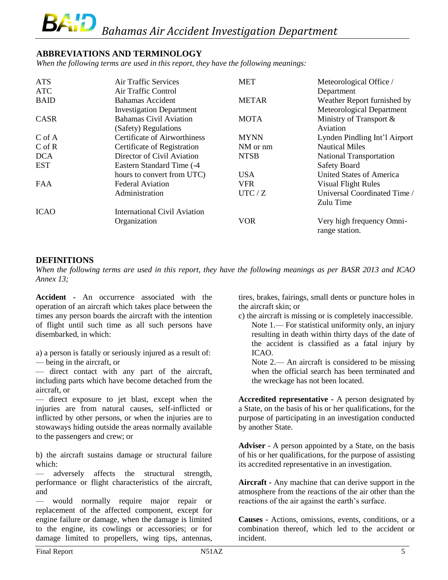# <span id="page-4-0"></span>**ABBREVIATIONS AND TERMINOLOGY**

*When the following terms are used in this report, they have the following meanings:*

| <b>ATS</b>  | Air Traffic Services                | <b>MET</b>   | Meteorological Office /        |
|-------------|-------------------------------------|--------------|--------------------------------|
| <b>ATC</b>  | Air Traffic Control                 |              | Department                     |
| <b>BAID</b> | Bahamas Accident                    | <b>METAR</b> | Weather Report furnished by    |
|             | <b>Investigation Department</b>     |              | Meteorological Department      |
| CASR        | <b>Bahamas Civil Aviation</b>       | <b>MOTA</b>  | Ministry of Transport $\&$     |
|             | (Safety) Regulations                |              | Aviation                       |
| $C$ of A    | <b>Certificate of Airworthiness</b> | <b>MYNN</b>  | Lynden Pindling Int'l Airport  |
| $C$ of $R$  | Certificate of Registration         | NM or nm     | <b>Nautical Miles</b>          |
| <b>DCA</b>  | Director of Civil Aviation          | <b>NTSB</b>  | <b>National Transportation</b> |
| <b>EST</b>  | Eastern Standard Time (-4           |              | <b>Safety Board</b>            |
|             | hours to convert from UTC)          | <b>USA</b>   | United States of America       |
| <b>FAA</b>  | <b>Federal Aviation</b>             | <b>VFR</b>   | <b>Visual Flight Rules</b>     |
|             | Administration                      | UTC/Z        | Universal Coordinated Time /   |
|             |                                     |              | Zulu Time                      |
| <b>ICAO</b> | <b>International Civil Aviation</b> |              |                                |
|             | Organization                        | <b>VOR</b>   | Very high frequency Omni-      |
|             |                                     |              | range station.                 |

# <span id="page-4-1"></span>**DEFINITIONS**

When the following terms are used in this report, they have the following meanings as per BASR 2013 and ICAO *Annex 13;*

**Accident -** An occurrence associated with the operation of an aircraft which takes place between the times any person boards the aircraft with the intention of flight until such time as all such persons have disembarked, in which:

a) a person is fatally or seriously injured as a result of:

— being in the aircraft, or

— direct contact with any part of the aircraft, including parts which have become detached from the aircraft, or

— direct exposure to jet blast, except when the injuries are from natural causes, self-inflicted or inflicted by other persons, or when the injuries are to stowaways hiding outside the areas normally available to the passengers and crew; or

b) the aircraft sustains damage or structural failure which:

— adversely affects the structural strength, performance or flight characteristics of the aircraft, and

— would normally require major repair or replacement of the affected component, except for engine failure or damage, when the damage is limited to the engine, its cowlings or accessories; or for damage limited to propellers, wing tips, antennas,

tires, brakes, fairings, small dents or puncture holes in the aircraft skin; or

c) the aircraft is missing or is completely inaccessible.

Note 1.— For statistical uniformity only, an injury resulting in death within thirty days of the date of the accident is classified as a fatal injury by ICAO.

Note 2.— An aircraft is considered to be missing when the official search has been terminated and the wreckage has not been located.

**Accredited representative -** A person designated by a State, on the basis of his or her qualifications, for the purpose of participating in an investigation conducted by another State.

**Adviser** - A person appointed by a State, on the basis of his or her qualifications, for the purpose of assisting its accredited representative in an investigation.

**Aircraft -** Any machine that can derive support in the atmosphere from the reactions of the air other than the reactions of the air against the earth's surface.

**Causes -** Actions, omissions, events, conditions, or a combination thereof, which led to the accident or incident.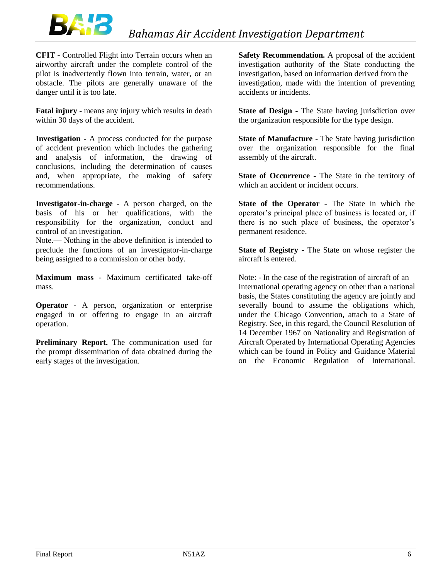

**CFIT -** Controlled Flight into Terrain occurs when an airworthy aircraft under the complete control of the pilot is inadvertently flown into terrain, water, or an obstacle. The pilots are generally unaware of the danger until it is too late.

**Fatal injury** - means any injury which results in death within 30 days of the accident.

**Investigation -** A process conducted for the purpose of accident prevention which includes the gathering and analysis of information, the drawing of conclusions, including the determination of causes and, when appropriate, the making of safety recommendations.

**Investigator-in-charge -** A person charged, on the basis of his or her qualifications, with the responsibility for the organization, conduct and control of an investigation.

Note.— Nothing in the above definition is intended to preclude the functions of an investigator-in-charge being assigned to a commission or other body.

**Maximum mass -** Maximum certificated take-off mass.

**Operator -** A person, organization or enterprise engaged in or offering to engage in an aircraft operation.

**Preliminary Report.** The communication used for the prompt dissemination of data obtained during the early stages of the investigation.

**Safety Recommendation.** A proposal of the accident investigation authority of the State conducting the investigation, based on information derived from the investigation, made with the intention of preventing accidents or incidents.

**State of Design -** The State having jurisdiction over the organization responsible for the type design.

**State of Manufacture -** The State having jurisdiction over the organization responsible for the final assembly of the aircraft.

**State of Occurrence -** The State in the territory of which an accident or incident occurs.

**State of the Operator -** The State in which the operator's principal place of business is located or, if there is no such place of business, the operator's permanent residence.

**State of Registry -** The State on whose register the aircraft is entered.

Note: - In the case of the registration of aircraft of an International operating agency on other than a national basis, the States constituting the agency are jointly and severally bound to assume the obligations which, under the Chicago Convention, attach to a State of Registry. See, in this regard, the Council Resolution of 14 December 1967 on Nationality and Registration of Aircraft Operated by International Operating Agencies which can be found in Policy and Guidance Material on the Economic Regulation of International.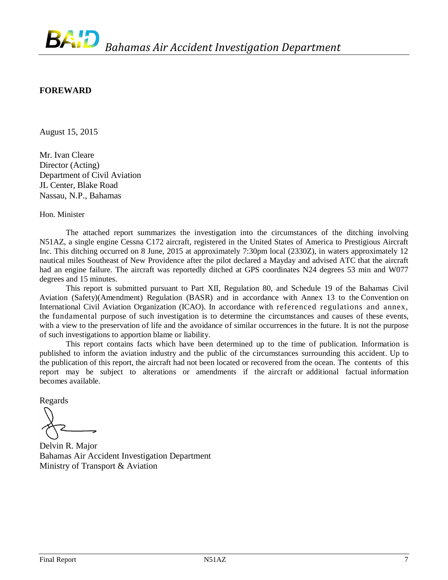# <span id="page-6-0"></span>**FOREWARD**

August 15, 2015

Mr. Ivan Cleare Director (Acting) Department of Civil Aviation JL Center, Blake Road Nassau, N.P., Bahamas

Hon. Minister

The attached report summarizes the investigation into the circumstances of the ditching involving N51AZ, a single engine Cessna C172 aircraft, registered in the United States of America to Prestigious Aircraft Inc. This ditching occurred on 8 June, 2015 at approximately 7:30pm local (2330Z), in waters approximately 12 nautical miles Southeast of New Providence after the pilot declared a Mayday and advised ATC that the aircraft had an engine failure. The aircraft was reportedly ditched at GPS coordinates N24 degrees 53 min and W077 degrees and 15 minutes.

This report is submitted pursuant to Part XII, Regulation 80, and Schedule 19 of the Bahamas Civil Aviation (Safety)(Amendment) Regulation (BASR) and in accordance with Annex 13 to the Convention on International Civil Aviation Organization (ICAO). In accordance with referenced regulations and annex, the fundamental purpose of such investigation is to determine the circumstances and causes of these events, with a view to the preservation of life and the avoidance of similar occurrences in the future. It is not the purpose of such investigations to apportion blame or liability.

This report contains facts which have been determined up to the time of publication. Information is published to inform the aviation industry and the public of the circumstances surrounding this accident. Up to the publication of this report, the aircraft had not been located or recovered from the ocean. The contents of this report may be subject to alterations or amendments if the aircraft or additional factual information becomes available.

Regards

Delvin R. Major Bahamas Air Accident Investigation Department Ministry of Transport & Aviation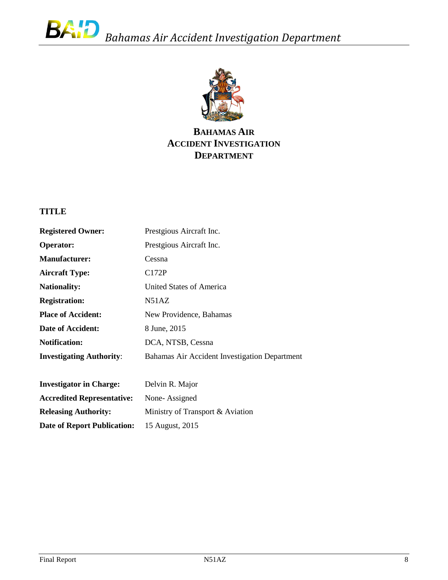

# **BAHAMAS AIR ACCIDENT INVESTIGATION DEPARTMENT**

# <span id="page-7-0"></span>**TITLE**

| <b>Registered Owner:</b>        | Prestgious Aircraft Inc.                      |
|---------------------------------|-----------------------------------------------|
| <b>Operator:</b>                | Prestgious Aircraft Inc.                      |
| <b>Manufacturer:</b>            | Cessna                                        |
| <b>Aircraft Type:</b>           | C172P                                         |
| <b>Nationality:</b>             | United States of America                      |
| <b>Registration:</b>            | N51AZ                                         |
| <b>Place of Accident:</b>       | New Providence, Bahamas                       |
| Date of Accident:               | 8 June, 2015                                  |
| <b>Notification:</b>            | DCA, NTSB, Cessna                             |
| <b>Investigating Authority:</b> | Bahamas Air Accident Investigation Department |
|                                 |                                               |

| <b>Investigator in Charge:</b>     | Delvin R. Major                  |
|------------------------------------|----------------------------------|
| <b>Accredited Representative:</b>  | None-Assigned                    |
| <b>Releasing Authority:</b>        | Ministry of Transport & Aviation |
| <b>Date of Report Publication:</b> | 15 August, 2015                  |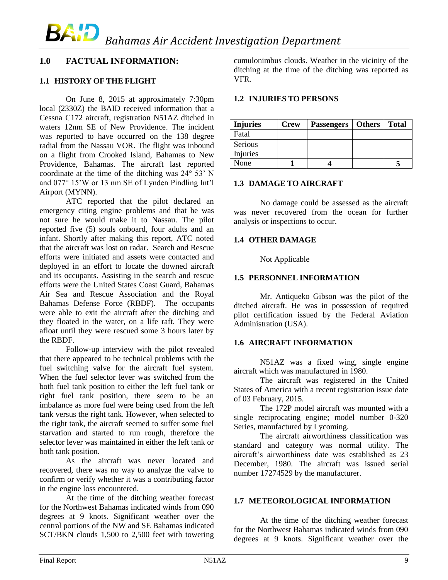# <span id="page-8-0"></span>**1.0 FACTUAL INFORMATION:**

# <span id="page-8-1"></span>**1.1 HISTORY OF THE FLIGHT**

On June 8, 2015 at approximately 7:30pm local (2330Z) the BAID received information that a Cessna C172 aircraft, registration N51AZ ditched in waters 12nm SE of New Providence. The incident was reported to have occurred on the 138 degree radial from the Nassau VOR. The flight was inbound on a flight from Crooked Island, Bahamas to New Providence, Bahamas. The aircraft last reported coordinate at the time of the ditching was 24° 53' N and 077° 15'W or 13 nm SE of Lynden Pindling Int'l Airport (MYNN).

 ATC reported that the pilot declared an emergency citing engine problems and that he was not sure he would make it to Nassau. The pilot reported five (5) souls onboard, four adults and an infant. Shortly after making this report, ATC noted that the aircraft was lost on radar. Search and Rescue efforts were initiated and assets were contacted and deployed in an effort to locate the downed aircraft and its occupants. Assisting in the search and rescue efforts were the United States Coast Guard, Bahamas Air Sea and Rescue Association and the Royal Bahamas Defense Force (RBDF). The occupants were able to exit the aircraft after the ditching and they floated in the water, on a life raft. They were afloat until they were rescued some 3 hours later by the RBDF.

Follow-up interview with the pilot revealed that there appeared to be technical problems with the fuel switching valve for the aircraft fuel system. When the fuel selector lever was switched from the both fuel tank position to either the left fuel tank or right fuel tank position, there seem to be an imbalance as more fuel were being used from the left tank versus the right tank. However, when selected to the right tank, the aircraft seemed to suffer some fuel starvation and started to run rough, therefore the selector lever was maintained in either the left tank or both tank position.

As the aircraft was never located and recovered, there was no way to analyze the valve to confirm or verify whether it was a contributing factor in the engine loss encountered.

At the time of the ditching weather forecast for the Northwest Bahamas indicated winds from 090 degrees at 9 knots. Significant weather over the central portions of the NW and SE Bahamas indicated SCT/BKN clouds 1,500 to 2,500 feet with towering cumulonimbus clouds. Weather in the vicinity of the ditching at the time of the ditching was reported as VFR.

#### <span id="page-8-2"></span>**1.2 INJURIES TO PERSONS**

| <b>Injuries</b> | <b>Crew</b> | <b>Passengers</b> | <b>Others</b> | <b>Total</b> |
|-----------------|-------------|-------------------|---------------|--------------|
| Fatal           |             |                   |               |              |
| Serious         |             |                   |               |              |
| Injuries        |             |                   |               |              |
| None            |             |                   |               |              |

#### <span id="page-8-3"></span>**1.3 DAMAGE TO AIRCRAFT**

No damage could be assessed as the aircraft was never recovered from the ocean for further analysis or inspections to occur.

# <span id="page-8-4"></span>**1.4 OTHER DAMAGE**

Not Applicable

# <span id="page-8-5"></span>**1.5 PERSONNEL INFORMATION**

Mr. Antiqueko Gibson was the pilot of the ditched aircraft. He was in possession of required pilot certification issued by the Federal Aviation Administration (USA).

# <span id="page-8-6"></span>**1.6 AIRCRAFT INFORMATION**

N51AZ was a fixed wing, single engine aircraft which was manufactured in 1980.

The aircraft was registered in the United States of America with a recent registration issue date of 03 February, 2015.

The 172P model aircraft was mounted with a single reciprocating engine; model number 0-320 Series, manufactured by Lycoming.

The aircraft airworthiness classification was standard and category was normal utility. The aircraft's airworthiness date was established as 23 December, 1980. The aircraft was issued serial number 17274529 by the manufacturer.

#### <span id="page-8-7"></span>**1.7 METEOROLOGICAL INFORMATION**

At the time of the ditching weather forecast for the Northwest Bahamas indicated winds from 090 degrees at 9 knots. Significant weather over the